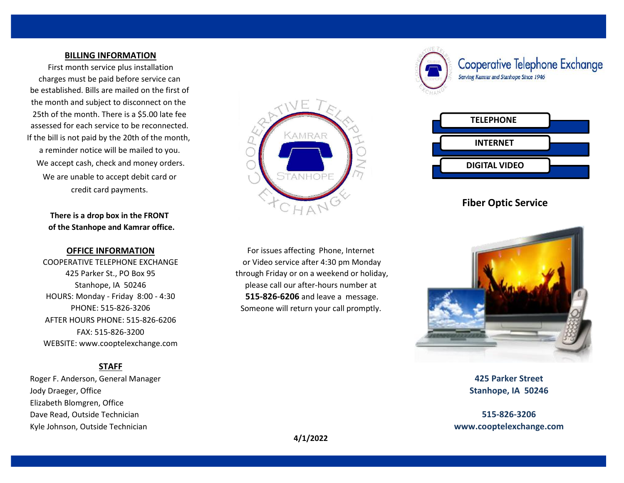# **BILLING INFORMATION**

We accept cash, check and money orders. We are unable to accept debit card or credit card payments. First month service plus installation charges must be paid before service can be established. Bills are mailed on the first of the month and subject to disconnect on the 25th of the month. There is a \$5.00 late fee assessed for each service to be reconnected. If the bill is not paid by the 20th of the month, a reminder notice will be mailed to you.

> **There is a drop box in the FRONT of the Stanhope and Kamrar office.**

# **OFFICE INFORMATION**

COOPERATIVE TELEPHONE EXCHANGE HOURS: Monday - Friday 8:00 - 4:30 425 Parker St., PO Box 95 WEBSITE: www.cooptelexchange.com FAX: 515-826-3200 AFTER HOURS PHONE: 515-826-6206 PHONE: 515-826-3206

# **STAFF**

 Roger F. Anderson, General Manager **425 Parker Street** Jody Draeger, Office **Stanhope, IA 50246** Elizabeth Blomgren, Office Dave Read, Outside Technician **515-826-3206** Kyle Johnson, Outside Technician **www.cooptelexchange.com**



Stanhope, IA 50246 **please call our after-hours number at**  through Friday or on a weekend or holiday, **515-826-6206** and leave a message. Someone will return your call promptly. For issues affecting Phone, Internet or Video service after 4:30 pm Monday



Cooperative Telephone Exchange Serving Kamrar and Stanhope Since 1946



# **Fiber Optic Service**



**4/1/2022**